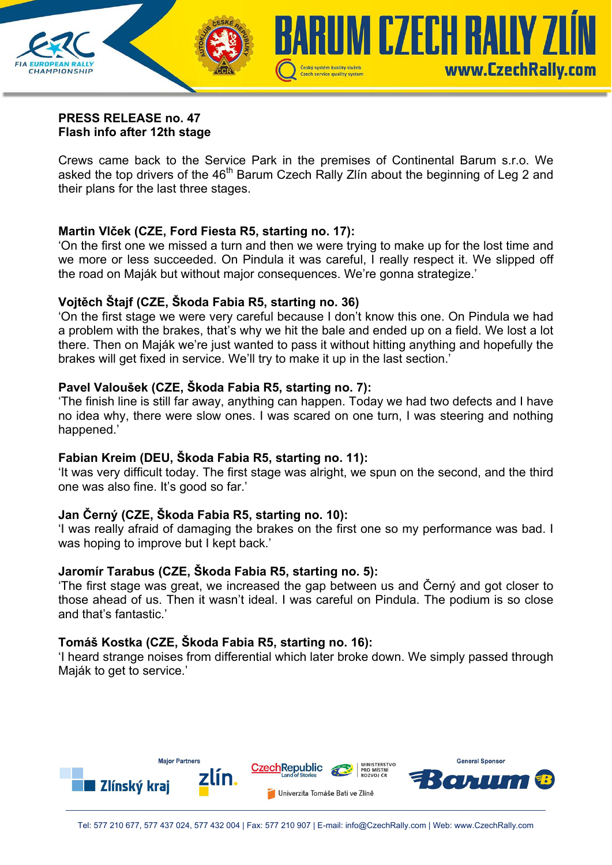

#### **PRESS RELEASE no. 47 Flash info after 12th stage**

Crews came back to the Service Park in the premises of Continental Barum s.r.o. We asked the top drivers of the 46<sup>th</sup> Barum Czech Rally Zlín about the beginning of Leg 2 and their plans for the last three stages.

### **Martin Vlček (CZE, Ford Fiesta R5, starting no. 17):**

'On the first one we missed a turn and then we were trying to make up for the lost time and we more or less succeeded. On Pindula it was careful, I really respect it. We slipped off the road on Maják but without major consequences. We're gonna strategize.'

## **Vojtěch Štajf (CZE, Škoda Fabia R5, starting no. 36)**

'On the first stage we were very careful because I don't know this one. On Pindula we had a problem with the brakes, that's why we hit the bale and ended up on a field. We lost a lot there. Then on Maják we're just wanted to pass it without hitting anything and hopefully the brakes will get fixed in service. We'll try to make it up in the last section.'

## **Pavel Valoušek (CZE, Škoda Fabia R5, starting no. 7):**

'The finish line is still far away, anything can happen. Today we had two defects and I have no idea why, there were slow ones. I was scared on one turn, I was steering and nothing happened.'

### **Fabian Kreim (DEU, Škoda Fabia R5, starting no. 11):**

'It was very difficult today. The first stage was alright, we spun on the second, and the third one was also fine. It's good so far.'

# **Jan Černý (CZE, Škoda Fabia R5, starting no. 10):**

'I was really afraid of damaging the brakes on the first one so my performance was bad. I was hoping to improve but I kept back.'

### **Jaromír Tarabus (CZE, Škoda Fabia R5, starting no. 5):**

'The first stage was great, we increased the gap between us and Černý and got closer to those ahead of us. Then it wasn't ideal. I was careful on Pindula. The podium is so close and that's fantastic.'

### **Tomáš Kostka (CZE, Škoda Fabia R5, starting no. 16):**

'I heard strange noises from differential which later broke down. We simply passed through Maják to get to service.'

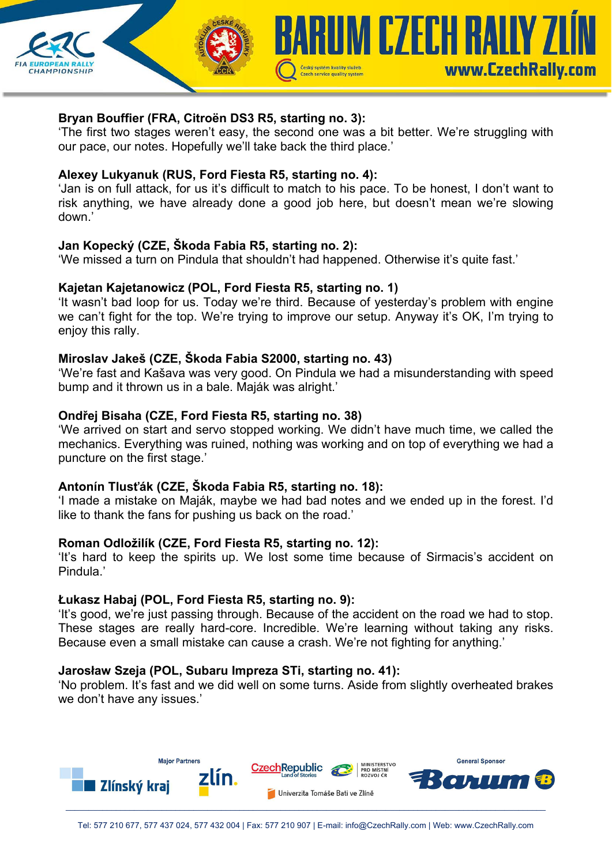

## **Bryan Bouffier (FRA, Citroën DS3 R5, starting no. 3):**

'The first two stages weren't easy, the second one was a bit better. We're struggling with our pace, our notes. Hopefully we'll take back the third place.'

### **Alexey Lukyanuk (RUS, Ford Fiesta R5, starting no. 4):**

'Jan is on full attack, for us it's difficult to match to his pace. To be honest, I don't want to risk anything, we have already done a good job here, but doesn't mean we're slowing down.'

## **Jan Kopecký (CZE, Škoda Fabia R5, starting no. 2):**

'We missed a turn on Pindula that shouldn't had happened. Otherwise it's quite fast.'

### **Kajetan Kajetanowicz (POL, Ford Fiesta R5, starting no. 1)**

'It wasn't bad loop for us. Today we're third. Because of yesterday's problem with engine we can't fight for the top. We're trying to improve our setup. Anyway it's OK, I'm trying to enjoy this rally.

## **Miroslav Jakeš (CZE, Škoda Fabia S2000, starting no. 43)**

'We're fast and Kašava was very good. On Pindula we had a misunderstanding with speed bump and it thrown us in a bale. Maják was alright.'

## **Ondřej Bisaha (CZE, Ford Fiesta R5, starting no. 38)**

'We arrived on start and servo stopped working. We didn't have much time, we called the mechanics. Everything was ruined, nothing was working and on top of everything we had a puncture on the first stage.'

### **Antonín Tlusťák (CZE, Škoda Fabia R5, starting no. 18):**

'I made a mistake on Maják, maybe we had bad notes and we ended up in the forest. I'd like to thank the fans for pushing us back on the road.'

### **Roman Odložilík (CZE, Ford Fiesta R5, starting no. 12):**

'It's hard to keep the spirits up. We lost some time because of Sirmacis's accident on Pindula.'

### **Łukasz Habaj (POL, Ford Fiesta R5, starting no. 9):**

'It's good, we're just passing through. Because of the accident on the road we had to stop. These stages are really hard-core. Incredible. We're learning without taking any risks. Because even a small mistake can cause a crash. We're not fighting for anything.'

# **Jarosław Szeja (POL, Subaru Impreza STi, starting no. 41):**

'No problem. It's fast and we did well on some turns. Aside from slightly overheated brakes we don't have any issues.'